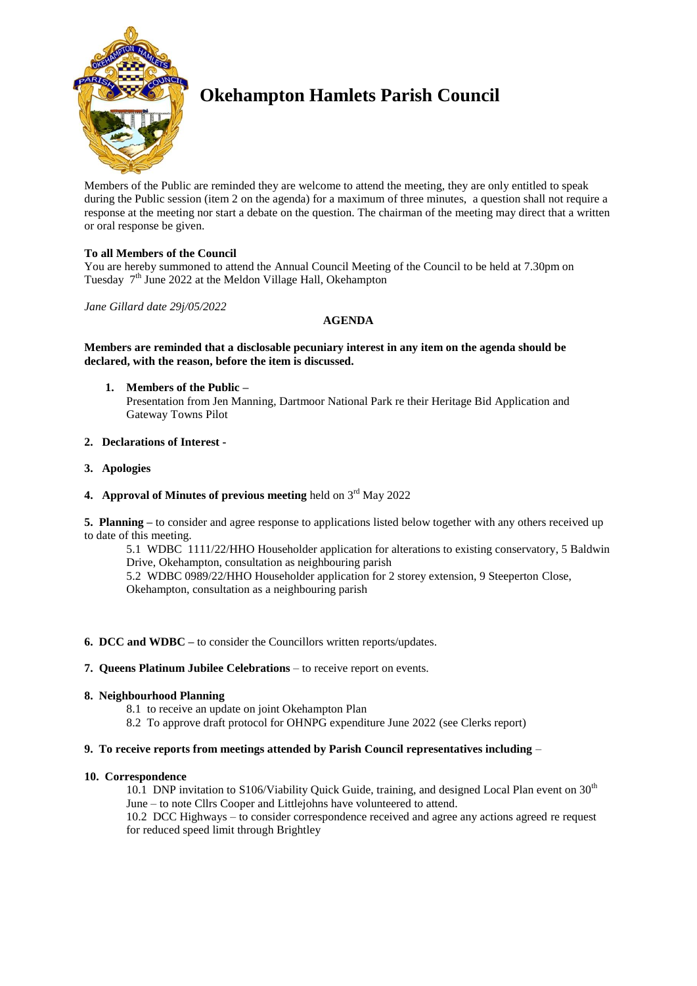

# **Okehampton Hamlets Parish Council**

Members of the Public are reminded they are welcome to attend the meeting, they are only entitled to speak during the Public session (item 2 on the agenda) for a maximum of three minutes, a question shall not require a response at the meeting nor start a debate on the question. The chairman of the meeting may direct that a written or oral response be given.

## **To all Members of the Council**

You are hereby summoned to attend the Annual Council Meeting of the Council to be held at 7.30pm on Tuesday 7<sup>th</sup> June 2022 at the Meldon Village Hall, Okehampton

*Jane Gillard date 29j/05/2022*

## **AGENDA**

## **Members are reminded that a disclosable pecuniary interest in any item on the agenda should be declared, with the reason, before the item is discussed.**

**1. Members of the Public –** Presentation from Jen Manning, Dartmoor National Park re their Heritage Bid Application and Gateway Towns Pilot

## **2. Declarations of Interest -**

- **3. Apologies**
- 4. Approval of Minutes of previous meeting held on 3<sup>rd</sup> May 2022

**5. Planning –** to consider and agree response to applications listed below together with any others received up to date of this meeting.

5.1 WDBC 1111/22/HHO Householder application for alterations to existing conservatory, 5 Baldwin Drive, Okehampton, consultation as neighbouring parish 5.2 WDBC 0989/22/HHO Householder application for 2 storey extension, 9 Steeperton Close,

Okehampton, consultation as a neighbouring parish

## **6. DCC and WDBC –** to consider the Councillors written reports/updates.

## **7. Queens Platinum Jubilee Celebrations** – to receive report on events.

## **8. Neighbourhood Planning**

- 8.1 to receive an update on joint Okehampton Plan
- 8.2 To approve draft protocol for OHNPG expenditure June 2022 (see Clerks report)

## **9. To receive reports from meetings attended by Parish Council representatives including** –

## **10. Correspondence**

10.1 DNP invitation to S106/Viability Quick Guide, training, and designed Local Plan event on  $30<sup>th</sup>$ June – to note Cllrs Cooper and Littlejohns have volunteered to attend.

10.2 DCC Highways – to consider correspondence received and agree any actions agreed re request for reduced speed limit through Brightley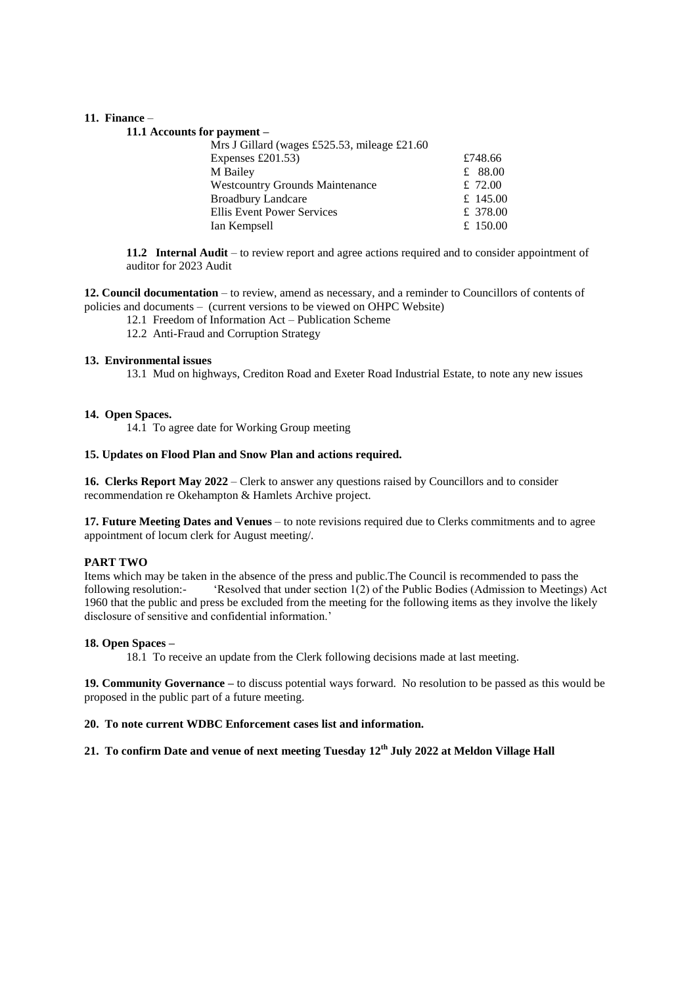#### **11. Finance** –

#### **11.1 Accounts for payment –**

| Mrs J Gillard (wages £525.53, mileage £21.60 |           |
|----------------------------------------------|-----------|
| Expenses $£201.53)$                          | £748.66   |
| M Bailey                                     | £ $88.00$ |
| <b>Westcountry Grounds Maintenance</b>       | £ $72.00$ |
| <b>Broadbury Landcare</b>                    | £ 145.00  |
| Ellis Event Power Services                   | £ 378.00  |
| Ian Kempsell                                 | £ 150.00  |
|                                              |           |

**11.2 Internal Audit** – to review report and agree actions required and to consider appointment of auditor for 2023 Audit

**12. Council documentation** – to review, amend as necessary, and a reminder to Councillors of contents of policies and documents – (current versions to be viewed on OHPC Website)

- 12.1 Freedom of Information Act Publication Scheme
- 12.2 Anti-Fraud and Corruption Strategy

#### **13. Environmental issues**

13.1 Mud on highways, Crediton Road and Exeter Road Industrial Estate, to note any new issues

#### **14. Open Spaces.**

14.1 To agree date for Working Group meeting

## **15. Updates on Flood Plan and Snow Plan and actions required.**

**16. Clerks Report May 2022** – Clerk to answer any questions raised by Councillors and to consider recommendation re Okehampton & Hamlets Archive project.

**17. Future Meeting Dates and Venues** – to note revisions required due to Clerks commitments and to agree appointment of locum clerk for August meeting/.

#### **PART TWO**

Items which may be taken in the absence of the press and public.The Council is recommended to pass the following resolution:- 'Resolved that under section 1(2) of the Public Bodies (Admission to Meetings) Act 1960 that the public and press be excluded from the meeting for the following items as they involve the likely disclosure of sensitive and confidential information.'

#### **18. Open Spaces –**

18.1 To receive an update from the Clerk following decisions made at last meeting.

**19. Community Governance –** to discuss potential ways forward. No resolution to be passed as this would be proposed in the public part of a future meeting.

## **20. To note current WDBC Enforcement cases list and information.**

# **21. To confirm Date and venue of next meeting Tuesday 12th July 2022 at Meldon Village Hall**